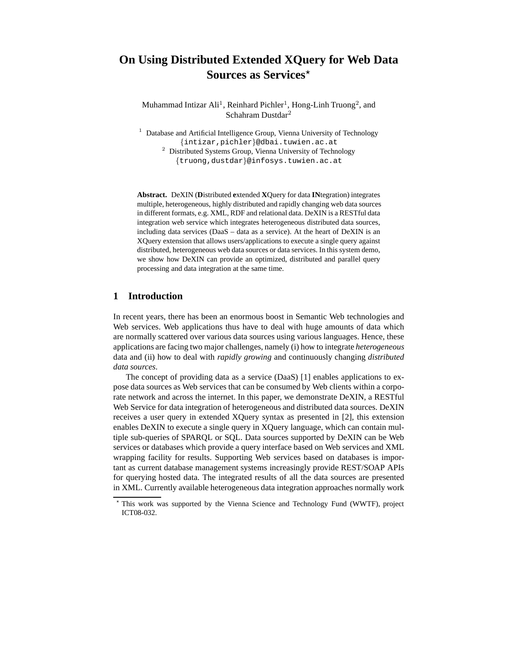# **On Using Distributed Extended XQuery for Web Data Sources as Services**<sup>\*</sup>

Muhammad Intizar Ali<sup>1</sup>, Reinhard Pichler<sup>1</sup>, Hong-Linh Truong<sup>2</sup>, and Schahram Dustdar<sup>2</sup>

<sup>1</sup> Database and Artificial Intelligence Group, Vienna University of Technology {intizar,pichler}@dbai.tuwien.ac.at <sup>2</sup> Distributed Systems Group, Vienna University of Technology {truong,dustdar}@infosys.tuwien.ac.at

**Abstract.** DeXIN (**D**istributed **e**xtended **X**Query for data **IN**tegration) integrates multiple, heterogeneous, highly distributed and rapidly changing web data sources in different formats, e.g. XML, RDF and relational data. DeXIN is a RESTful data integration web service which integrates heterogeneous distributed data sources, including data services (DaaS – data as a service). At the heart of DeXIN is an XQuery extension that allows users/applications to execute a single query against distributed, heterogeneous web data sources or data services. In this system demo, we show how DeXIN can provide an optimized, distributed and parallel query processing and data integration at the same time.

# **1 Introduction**

In recent years, there has been an enormous boost in Semantic Web technologies and Web services. Web applications thus have to deal with huge amounts of data which are normally scattered over various data sources using various languages. Hence, these applications are facing two major challenges, namely (i) how to integrate *heterogeneous* data and (ii) how to deal with *rapidly growing* and continuously changing *distributed data sources*.

The concept of providing data as a service (DaaS) [1] enables applications to expose data sources as Web services that can be consumed by Web clients within a corporate network and across the internet. In this paper, we demonstrate DeXIN, a RESTful Web Service for data integration of heterogeneous and distributed data sources. DeXIN receives a user query in extended XQuery syntax as presented in [2], this extension enables DeXIN to execute a single query in XQuery language, which can contain multiple sub-queries of SPARQL or SQL. Data sources supported by DeXIN can be Web services or databases which provide a query interface based on Web services and XML wrapping facility for results. Supporting Web services based on databases is important as current database management systems increasingly provide REST/SOAP APIs for querying hosted data. The integrated results of all the data sources are presented in XML. Currently available heterogeneous data integration approaches normally work

This work was supported by the Vienna Science and Technology Fund (WWTF), project ICT08-032.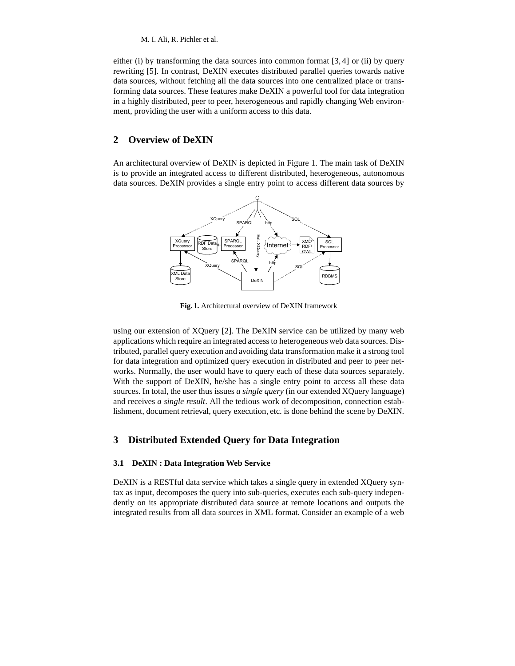M. I. Ali, R. Pichler et al.

either (i) by transforming the data sources into common format  $[3, 4]$  or (ii) by query rewriting [5]. In contrast, DeXIN executes distributed parallel queries towards native data sources, without fetching all the data sources into one centralized place or transforming data sources. These features make DeXIN a powerful tool for data integration in a highly distributed, peer to peer, heterogeneous and rapidly changing Web environment, providing the user with a uniform access to this data.

# **2 Overview of DeXIN**

An architectural overview of DeXIN is depicted in Figure 1. The main task of DeXIN is to provide an integrated access to different distributed, heterogeneous, autonomous data sources. DeXIN provides a single entry point to access different data sources by



**Fig. 1.** Architectural overview of DeXIN framework

using our extension of XQuery [2]. The DeXIN service can be utilized by many web applications which require an integrated access to heterogeneous web data sources. Distributed, parallel query execution and avoiding data transformation make it a strong tool for data integration and optimized query execution in distributed and peer to peer networks. Normally, the user would have to query each of these data sources separately. With the support of DeXIN, he/she has a single entry point to access all these data sources. In total, the user thus issues *a single query* (in our extended XQuery language) and receives *a single result*. All the tedious work of decomposition, connection establishment, document retrieval, query execution, etc. is done behind the scene by DeXIN.

# **3 Distributed Extended Query for Data Integration**

### **3.1 DeXIN : Data Integration Web Service**

DeXIN is a RESTful data service which takes a single query in extended XQuery syntax as input, decomposes the query into sub-queries, executes each sub-query independently on its appropriate distributed data source at remote locations and outputs the integrated results from all data sources in XML format. Consider an example of a web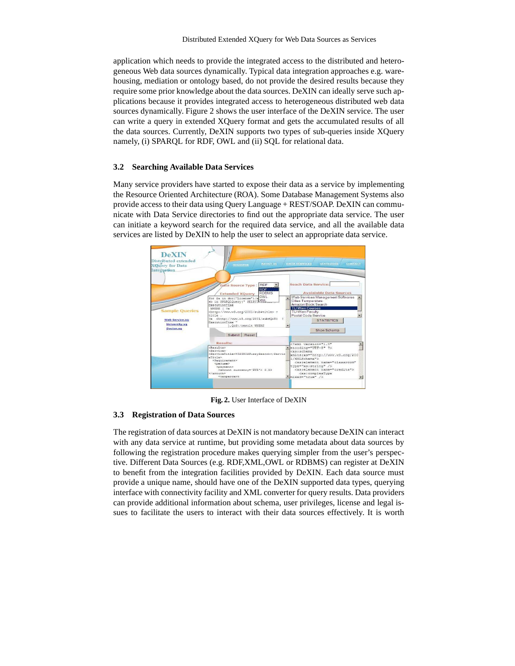application which needs to provide the integrated access to the distributed and heterogeneous Web data sources dynamically. Typical data integration approaches e.g. warehousing, mediation or ontology based, do not provide the desired results because they require some prior knowledge about the data sources. DeXIN can ideally serve such applications because it provides integrated access to heterogeneous distributed web data sources dynamically. Figure 2 shows the user interface of the DeXIN service. The user can write a query in extended XQuery format and gets the accumulated results of all the data sources. Currently, DeXIN supports two types of sub-queries inside XQuery namely, (i) SPARQL for RDF, OWL and (ii) SQL for relational data.

#### **3.2 Searching Available Data Services**

Many service providers have started to expose their data as a service by implementing the Resource Oriented Architecture (ROA). Some Database Management Systems also provide access to their data using Query Language + REST/SOAP. DeXIN can communicate with Data Service directories to find out the appropriate data service. The user can initiate a keyword search for the required data service, and all the available data services are listed by DeXIN to help the user to select an appropriate data service.



**Fig. 2.** User Interface of DeXIN

#### **3.3 Registration of Data Sources**

The registration of data sources at DeXIN is not mandatory because DeXIN can interact with any data service at runtime, but providing some metadata about data sources by following the registration procedure makes querying simpler from the user's perspective. Different Data Sources (e.g. RDF,XML,OWL or RDBMS) can register at DeXIN to benefit from the integration facilities provided by DeXIN. Each data source must provide a unique name, should have one of the DeXIN supported data types, querying interface with connectivity facility and XML converter for query results. Data providers can provide additional information about schema, user privileges, license and legal issues to facilitate the users to interact with their data sources effectively. It is worth